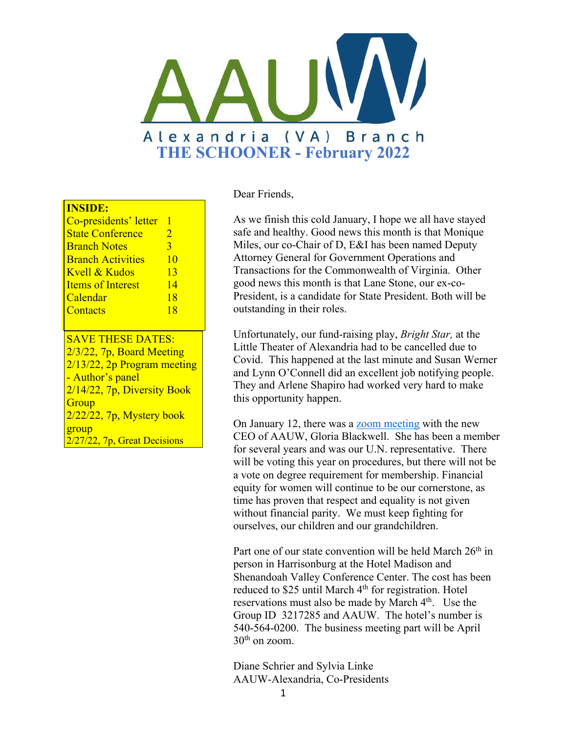

#### **INSIDE:**

| Co-presidents' letter    |                       |
|--------------------------|-----------------------|
| <b>State Conference</b>  | $\mathcal{D}_{\cdot}$ |
| <b>Branch Notes</b>      | 3                     |
| <b>Branch Activities</b> | 10                    |
| Kvell & Kudos            | 13                    |
| <b>Items of Interest</b> | 14                    |
| Calendar                 | 18                    |
| Contacts                 | 18                    |
|                          |                       |

SAVE THESE DATES: 2/3/22, 7p, Board Meeting 2/13/22, 2p Program meeting - Author's panel 2/14/22, 7p, Diversity Book **Group** 2/22/22, 7p, Mystery book group 2/27/22, 7p, Great Decisions

#### Dear Friends,

As we finish this cold January, I hope we all have stayed safe and healthy. Good news this month is that Monique Miles, our co-Chair of D, E&I has been named Deputy Attorney General for Government Operations and Transactions for the Commonwealth of Virginia. Other good news this month is that Lane Stone, our ex-co-President, is a candidate for State President. Both will be outstanding in their roles.

Unfortunately, our fund-raising play, *Bright Star,* at the Little Theater of Alexandria had to be cancelled due to Covid. This happened at the last minute and Susan Werner and Lynn O'Connell did an excellent job notifying people. They and Arlene Shapiro had worked very hard to make this opportunity happen.

On January 12, there was a [zoom meeting](https://www.youtube.com/watch?v=zxOrtE-LPAo&t=25s) with the new CEO of AAUW, Gloria Blackwell. She has been a member for several years and was our U.N. representative. There will be voting this year on procedures, but there will not be a vote on degree requirement for membership. Financial equity for women will continue to be our cornerstone, as time has proven that respect and equality is not given without financial parity. We must keep fighting for ourselves, our children and our grandchildren.

Part one of our state convention will be held March  $26<sup>th</sup>$  in person in Harrisonburg at the Hotel Madison and Shenandoah Valley Conference Center. The cost has been reduced to \$25 until March 4<sup>th</sup> for registration. Hotel reservations must also be made by March 4<sup>th</sup>. Use the Group ID 3217285 and AAUW. The hotel's number is 540-564-0200. The business meeting part will be April  $30<sup>th</sup>$  on zoom.

Diane Schrier and Sylvia Linke AAUW-Alexandria, Co-Presidents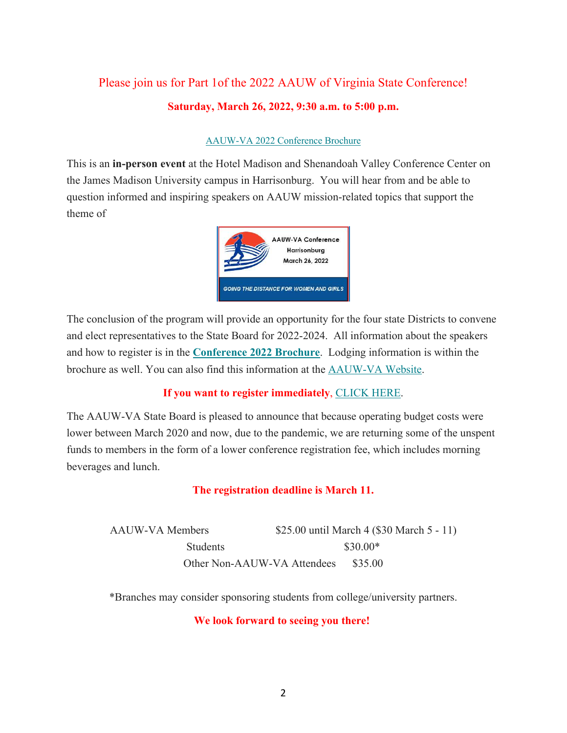# Please join us for Part 1of the 2022 AAUW of Virginia State Conference! **Saturday, March 26, 2022, 9:30 a.m. to 5:00 p.m.**

### [AAUW-VA 2022 Conference Brochure](https://aauw-va.aauw.net/files/2022/01/Brochure-AAUW-VA-Conference-2022_with-registration-FINAL.pdf)

This is an **in-person event** at the Hotel Madison and Shenandoah Valley Conference Center on the James Madison University campus in Harrisonburg. You will hear from and be able to question informed and inspiring speakers on AAUW mission-related topics that support the theme of



The conclusion of the program will provide an opportunity for the four state Districts to convene and elect representatives to the State Board for 2022-2024. All information about the speakers and how to register is in the **[Conference 2022 Brochure](https://aauw-va.aauw.net/files/2022/01/Brochure-AAUW-VA-Conference-2022_with-registration-FINAL.pdf)**. Lodging information is within the brochure as well. You can also find this information at the [AAUW-VA Website](https://aauw-va.aauw.net/conference-2/).

### **If you want to register immediately**, [CLICK HERE](https://aauw-va.aauw.net/2022-conference-registration-form/).

The AAUW-VA State Board is pleased to announce that because operating budget costs were lower between March 2020 and now, due to the pandemic, we are returning some of the unspent funds to members in the form of a lower conference registration fee, which includes morning beverages and lunch.

### **The registration deadline is March 11.**

| <b>AAUW-VA Members</b>      | \$25.00 until March 4 (\$30 March 5 - 11) |
|-----------------------------|-------------------------------------------|
| <b>Students</b>             | \$30.00*                                  |
| Other Non-AAUW-VA Attendees | \$35.00                                   |

\*Branches may consider sponsoring students from college/university partners.

#### **We look forward to seeing you there!**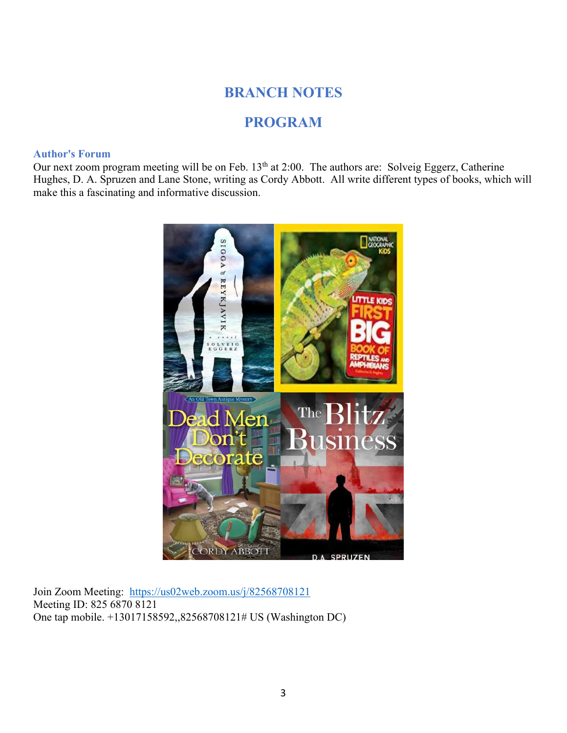# **BRANCH NOTES**

# **PROGRAM**

#### **Author's Forum**

Our next zoom program meeting will be on Feb. 13<sup>th</sup> at 2:00. The authors are: Solveig Eggerz, Catherine Hughes, D. A. Spruzen and Lane Stone, writing as Cordy Abbott. All write different types of books, which will make this a fascinating and informative discussion.



Join Zoom Meeting: <https://us02web.zoom.us/j/82568708121> Meeting ID: 825 6870 8121 One tap mobile. +13017158592,,82568708121# US (Washington DC)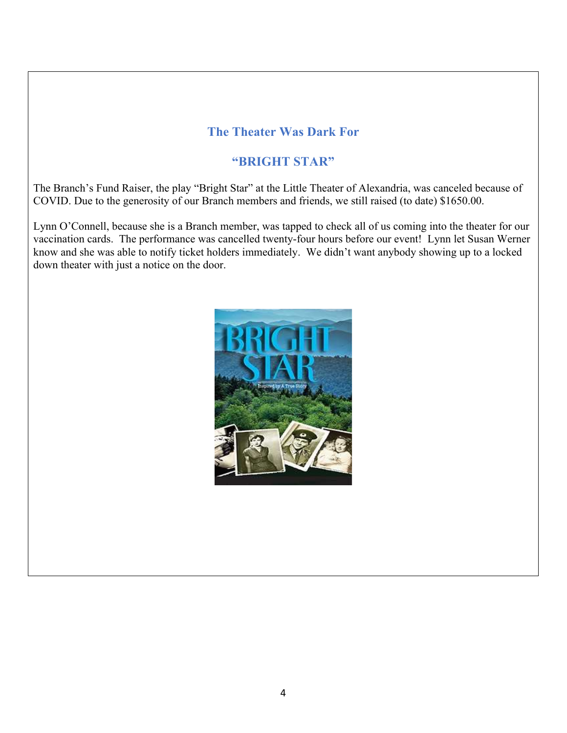# **The Theater Was Dark For**

# **"BRIGHT STAR"**

The Branch's Fund Raiser, the play "Bright Star" at the Little Theater of Alexandria, was canceled because of COVID. Due to the generosity of our Branch members and friends, we still raised (to date) \$1650.00.

Lynn O'Connell, because she is a Branch member, was tapped to check all of us coming into the theater for our vaccination cards. The performance was cancelled twenty-four hours before our event! Lynn let Susan Werner know and she was able to notify ticket holders immediately. We didn't want anybody showing up to a locked down theater with just a notice on the door.

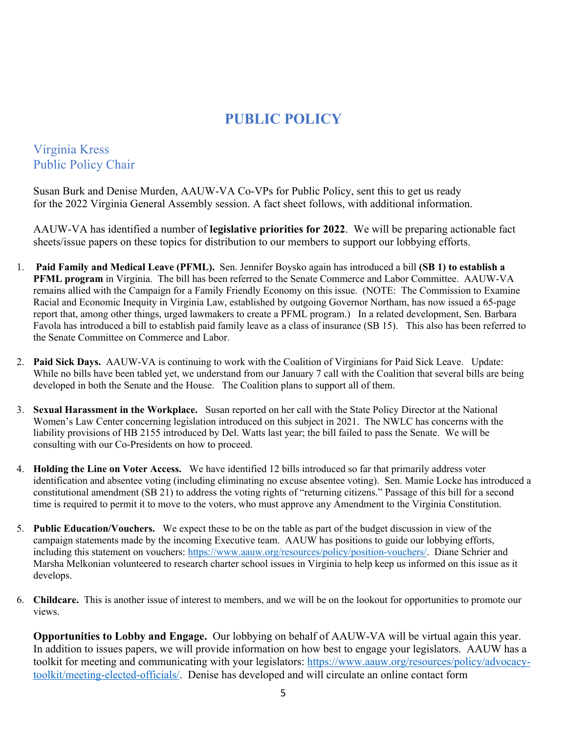# **PUBLIC POLICY**

## Virginia Kress Public Policy Chair

Susan Burk and Denise Murden, AAUW-VA Co-VPs for Public Policy, sent this to get us ready for the 2022 Virginia General Assembly session. A fact sheet follows, with additional information.

AAUW-VA has identified a number of **legislative priorities for 2022**. We will be preparing actionable fact sheets/issue papers on these topics for distribution to our members to support our lobbying efforts.

- 1. **Paid Family and Medical Leave (PFML).** Sen. Jennifer Boysko again has introduced a bill **(SB 1) to establish a PFML program** in Virginia. The bill has been referred to the Senate Commerce and Labor Committee. AAUW-VA remains allied with the Campaign for a Family Friendly Economy on this issue. (NOTE: The Commission to Examine Racial and Economic Inequity in Virginia Law, established by outgoing Governor Northam, has now issued a 65-page report that, among other things, urged lawmakers to create a PFML program.) In a related development, Sen. Barbara Favola has introduced a bill to establish paid family leave as a class of insurance (SB 15). This also has been referred to the Senate Committee on Commerce and Labor.
- 2. **Paid Sick Days.** AAUW-VA is continuing to work with the Coalition of Virginians for Paid Sick Leave. Update: While no bills have been tabled yet, we understand from our January 7 call with the Coalition that several bills are being developed in both the Senate and the House. The Coalition plans to support all of them.
- 3. **Sexual Harassment in the Workplace.** Susan reported on her call with the State Policy Director at the National Women's Law Center concerning legislation introduced on this subject in 2021. The NWLC has concerns with the liability provisions of HB 2155 introduced by Del. Watts last year; the bill failed to pass the Senate. We will be consulting with our Co-Presidents on how to proceed.
- 4. **Holding the Line on Voter Access.** We have identified 12 bills introduced so far that primarily address voter identification and absentee voting (including eliminating no excuse absentee voting). Sen. Mamie Locke has introduced a constitutional amendment (SB 21) to address the voting rights of "returning citizens." Passage of this bill for a second time is required to permit it to move to the voters, who must approve any Amendment to the Virginia Constitution.
- 5. **Public Education/Vouchers.** We expect these to be on the table as part of the budget discussion in view of the campaign statements made by the incoming Executive team. AAUW has positions to guide our lobbying efforts, including this statement on vouchers: [https://www.aauw.org/resources/policy/position-vouchers/.](https://www.aauw.org/resources/policy/position-vouchers/) Diane Schrier and Marsha Melkonian volunteered to research charter school issues in Virginia to help keep us informed on this issue as it develops.
- 6. **Childcare.** This is another issue of interest to members, and we will be on the lookout for opportunities to promote our views.

**Opportunities to Lobby and Engage.** Our lobbying on behalf of AAUW-VA will be virtual again this year. In addition to issues papers, we will provide information on how best to engage your legislators. AAUW has a toolkit for meeting and communicating with your legislators: [https://www.aauw.org/resources/policy/advocacy](https://www.aauw.org/resources/policy/advocacy-toolkit/meeting-elected-officials/)[toolkit/meeting-elected-officials/.](https://www.aauw.org/resources/policy/advocacy-toolkit/meeting-elected-officials/) Denise has developed and will circulate an online contact form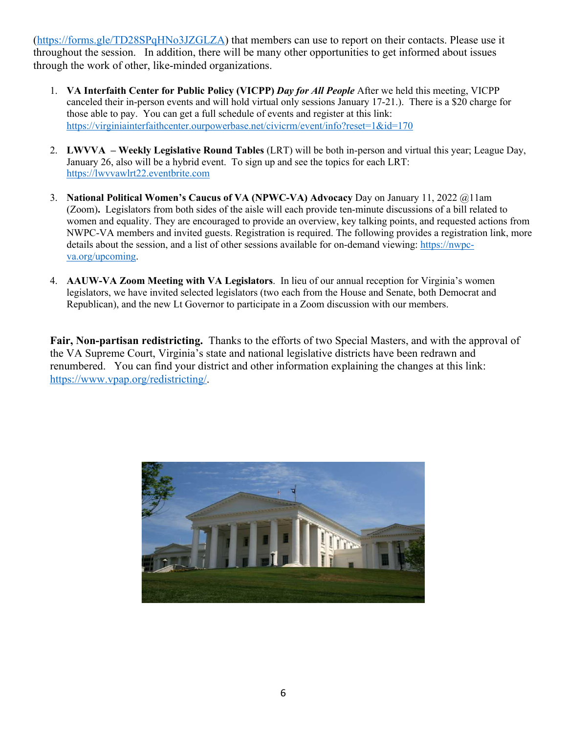([https://forms.gle/TD28SPqHNo3JZGLZA\)](https://forms.gle/TD28SPqHNo3JZGLZA) that members can use to report on their contacts. Please use it throughout the session. In addition, there will be many other opportunities to get informed about issues through the work of other, like-minded organizations.

- 1. **VA Interfaith Center for Public Policy (VICPP)** *Day for All People* After we held this meeting, VICPP canceled their in-person events and will hold virtual only sessions January 17-21.). There is a \$20 charge for those able to pay. You can get a full schedule of events and register at this link: <https://virginiainterfaithcenter.ourpowerbase.net/civicrm/event/info?reset=1&id=170>
- 2. **LWVVA – Weekly Legislative Round Tables** (LRT) will be both in-person and virtual this year; League Day, January 26, also will be a hybrid event. To sign up and see the topics for each LRT: [https://lwvvawlrt22.eventbrite.com](https://lwvvawlrt22.eventbrite.com/)
- 3. **National Political Women's Caucus of VA (NPWC-VA) Advocacy** Day on January 11, 2022 @11am (Zoom)**.** Legislators from both sides of the aisle will each provide ten-minute discussions of a bill related to women and equality. They are encouraged to provide an overview, key talking points, and requested actions from NWPC-VA members and invited guests. Registration is required. The following provides a registration link, more details about the session, and a list of other sessions available for on-demand viewing: [https://nwpc](https://nwpc-va.org/upcoming)[va.org/upcoming.](https://nwpc-va.org/upcoming)
- 4. **AAUW-VA Zoom Meeting with VA Legislators**. In lieu of our annual reception for Virginia's women legislators, we have invited selected legislators (two each from the House and Senate, both Democrat and Republican), and the new Lt Governor to participate in a Zoom discussion with our members.

**Fair, Non-partisan redistricting.** Thanks to the efforts of two Special Masters, and with the approval of the VA Supreme Court, Virginia's state and national legislative districts have been redrawn and renumbered. You can find your district and other information explaining the changes at this link: <https://www.vpap.org/redistricting/>.

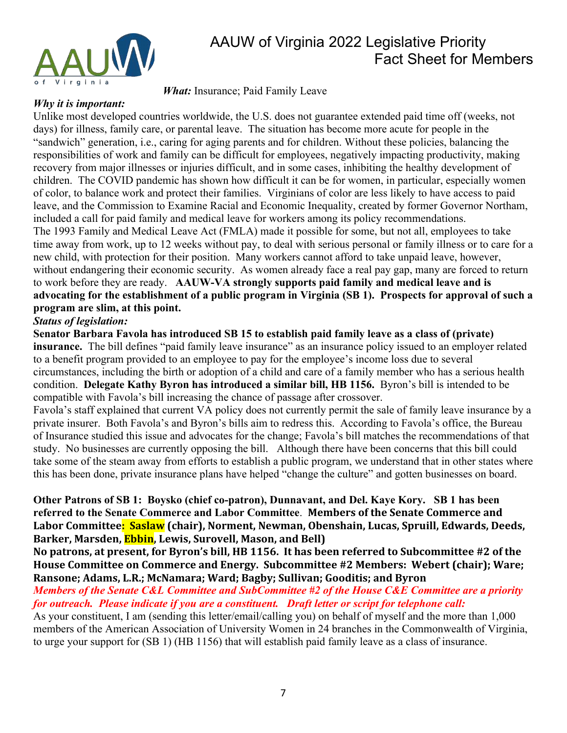

# AAUW of Virginia 2022 Legislative Priority Fact Sheet for Members

*What:* Insurance; Paid Family Leave

#### *Why it is important:*

Unlike most developed countries worldwide, the U.S. does not guarantee extended paid time off (weeks, not days) for illness, family care, or parental leave. The situation has become more acute for people in the "sandwich" generation, i.e., caring for aging parents and for children. Without these policies, balancing the responsibilities of work and family can be difficult for employees, negatively impacting productivity, making recovery from major illnesses or injuries difficult, and in some cases, inhibiting the healthy development of children. The COVID pandemic has shown how difficult it can be for women, in particular, especially women of color, to balance work and protect their families. Virginians of color are less likely to have access to paid leave, and the Commission to Examine Racial and Economic Inequality, created by former Governor Northam, included a call for paid family and medical leave for workers among its policy recommendations. The 1993 Family and Medical Leave Act (FMLA) made it possible for some, but not all, employees to take time away from work, up to 12 weeks without pay, to deal with serious personal or family illness or to care for a new child, with protection for their position. Many workers cannot afford to take unpaid leave, however, without endangering their economic security. As women already face a real pay gap, many are forced to return to work before they are ready. **AAUW-VA strongly supports paid family and medical leave and is advocating for the establishment of a public program in Virginia (SB 1). Prospects for approval of such a program are slim, at this point.** 

### *Status of legislation:*

**Senator Barbara Favola has introduced SB 15 to establish paid family leave as a class of (private) insurance.** The bill defines "paid family leave insurance" as an insurance policy issued to an employer related to a benefit program provided to an employee to pay for the employee's income loss due to several circumstances, including the birth or adoption of a child and care of a family member who has a serious health condition. **Delegate Kathy Byron has introduced a similar bill, HB 1156.** Byron's bill is intended to be compatible with Favola's bill increasing the chance of passage after crossover.

Favola's staff explained that current VA policy does not currently permit the sale of family leave insurance by a private insurer. Both Favola's and Byron's bills aim to redress this. According to Favola's office, the Bureau of Insurance studied this issue and advocates for the change; Favola's bill matches the recommendations of that study. No businesses are currently opposing the bill. Although there have been concerns that this bill could take some of the steam away from efforts to establish a public program, we understand that in other states where this has been done, private insurance plans have helped "change the culture" and gotten businesses on board.

**Other Patrons of SB 1: Boysko (chief co-patron), Dunnavant, and Del. Kaye Kory. SB 1 has been**  referred to the Senate Commerce and Labor Committee. Members of the Senate Commerce and Labor Committee<mark>: Saslaw</mark> (chair), Norment, Newman, Obenshain, Lucas, Spruill, Edwards, Deeds, **Barker, Marsden, Ebbin, Lewis, Surovell, Mason, and Bell)** 

No patrons, at present, for Byron's bill, HB 1156. It has been referred to Subcommittee #2 of the House Committee on Commerce and Energy. Subcommittee #2 Members: Webert (chair); Ware; Ransone; Adams, L.R.; McNamara; Ward; Bagby; Sullivan; Gooditis; and Byron

*Members of the Senate C&L Committee and SubCommittee #2 of the House C&E Committee are a priority for outreach. Please indicate if you are a constituent. Draft letter or script for telephone call:* 

As your constituent, I am (sending this letter/email/calling you) on behalf of myself and the more than 1,000 members of the American Association of University Women in 24 branches in the Commonwealth of Virginia, to urge your support for (SB 1) (HB 1156) that will establish paid family leave as a class of insurance.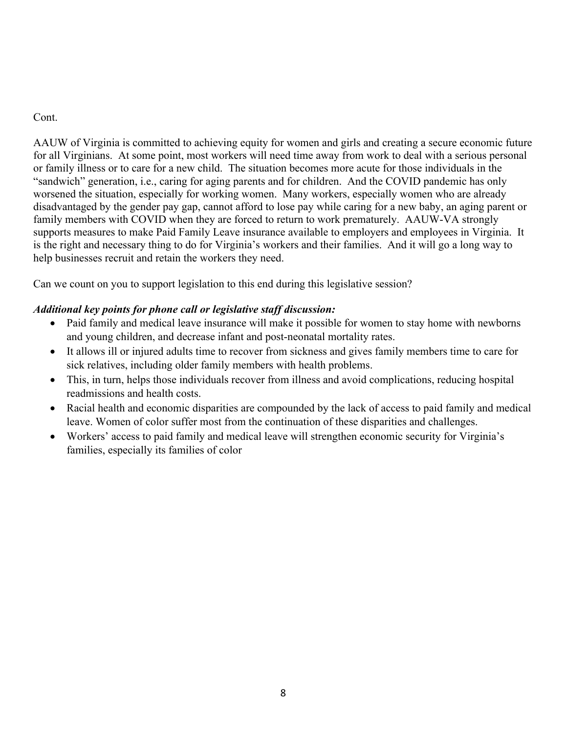### Cont.

AAUW of Virginia is committed to achieving equity for women and girls and creating a secure economic future for all Virginians. At some point, most workers will need time away from work to deal with a serious personal or family illness or to care for a new child. The situation becomes more acute for those individuals in the "sandwich" generation, i.e., caring for aging parents and for children. And the COVID pandemic has only worsened the situation, especially for working women. Many workers, especially women who are already disadvantaged by the gender pay gap, cannot afford to lose pay while caring for a new baby, an aging parent or family members with COVID when they are forced to return to work prematurely. AAUW-VA strongly supports measures to make Paid Family Leave insurance available to employers and employees in Virginia. It is the right and necessary thing to do for Virginia's workers and their families. And it will go a long way to help businesses recruit and retain the workers they need.

Can we count on you to support legislation to this end during this legislative session?

## *Additional key points for phone call or legislative staff discussion:*

- Paid family and medical leave insurance will make it possible for women to stay home with newborns and young children, and decrease infant and post-neonatal mortality rates.
- It allows ill or injured adults time to recover from sickness and gives family members time to care for sick relatives, including older family members with health problems.
- This, in turn, helps those individuals recover from illness and avoid complications, reducing hospital readmissions and health costs.
- Racial health and economic disparities are compounded by the lack of access to paid family and medical leave. Women of color suffer most from the continuation of these disparities and challenges.
- Workers' access to paid family and medical leave will strengthen economic security for Virginia's families, especially its families of color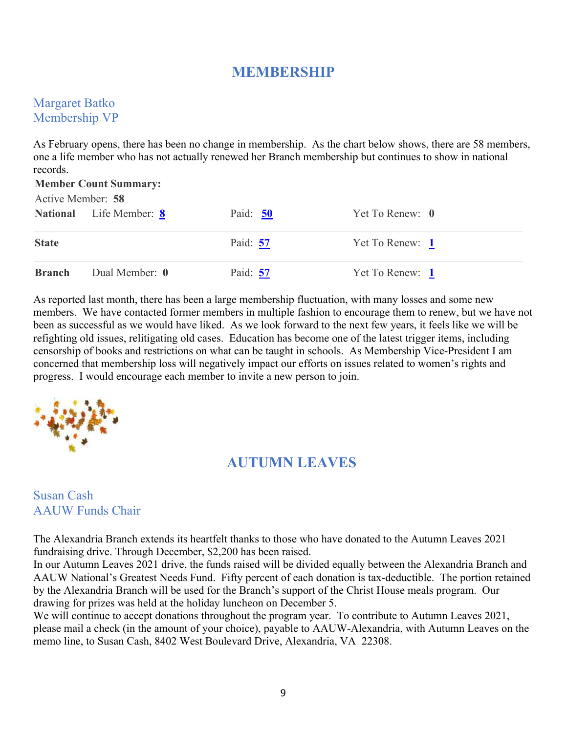# **MEMBERSHIP**

## Margaret Batko Membership VP

As February opens, there has been no change in membership. As the chart below shows, there are 58 members, one a life member who has not actually renewed her Branch membership but continues to show in national records.

| <b>Member Count Summary:</b><br>Active Member: 58 |                                |          |                            |  |  |  |
|---------------------------------------------------|--------------------------------|----------|----------------------------|--|--|--|
|                                                   | <b>National</b> Life Member: 8 | Paid: 50 | Yet To Renew: $\mathbf{0}$ |  |  |  |
| <b>State</b>                                      |                                | Paid: 57 | Yet To Renew: 1            |  |  |  |
| <b>Branch</b>                                     | Dual Member: 0                 | Paid: 57 | Yet To Renew: 1            |  |  |  |

As reported last month, there has been a large membership fluctuation, with many losses and some new members. We have contacted former members in multiple fashion to encourage them to renew, but we have not been as successful as we would have liked. As we look forward to the next few years, it feels like we will be refighting old issues, relitigating old cases. Education has become one of the latest trigger items, including censorship of books and restrictions on what can be taught in schools. As Membership Vice-President I am concerned that membership loss will negatively impact our efforts on issues related to women's rights and progress. I would encourage each member to invite a new person to join.



# **AUTUMN LEAVES**

## Susan Cash AAUW Funds Chair

The Alexandria Branch extends its heartfelt thanks to those who have donated to the Autumn Leaves 2021 fundraising drive. Through December, \$2,200 has been raised.

In our Autumn Leaves 2021 drive, the funds raised will be divided equally between the Alexandria Branch and AAUW National's Greatest Needs Fund. Fifty percent of each donation is tax-deductible. The portion retained by the Alexandria Branch will be used for the Branch's support of the Christ House meals program. Our drawing for prizes was held at the holiday luncheon on December 5.

We will continue to accept donations throughout the program year. To contribute to Autumn Leaves 2021, please mail a check (in the amount of your choice), payable to AAUW-Alexandria, with Autumn Leaves on the memo line, to Susan Cash, 8402 West Boulevard Drive, Alexandria, VA 22308.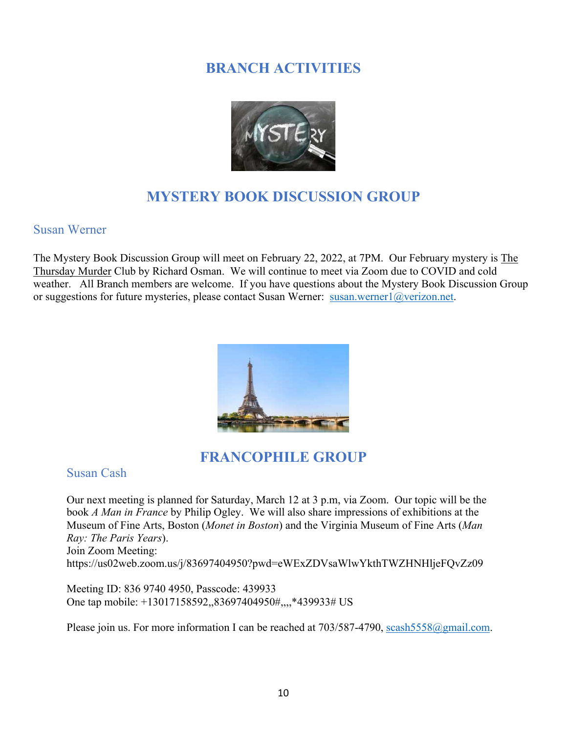# **BRANCH ACTIVITIES**



# **MYSTERY BOOK DISCUSSION GROUP**

### Susan Werner

The Mystery Book Discussion Group will meet on February 22, 2022, at 7PM. Our February mystery is The Thursday Murder Club by Richard Osman. We will continue to meet via Zoom due to COVID and cold weather. All Branch members are welcome. If you have questions about the Mystery Book Discussion Group or suggestions for future mysteries, please contact Susan Werner: [susan.werner1@verizon.net.](mailto:susan.werner1@verizon.net)



# **FRANCOPHILE GROUP**

Susan Cash

Our next meeting is planned for Saturday, March 12 at 3 p.m, via Zoom. Our topic will be the book *A Man in France* by Philip Ogley. We will also share impressions of exhibitions at the Museum of Fine Arts, Boston (*Monet in Boston*) and the Virginia Museum of Fine Arts (*Man Ray: The Paris Years*). Join Zoom Meeting: https://us02web.zoom.us/j/83697404950?pwd=eWExZDVsaWlwYkthTWZHNHljeFQvZz09

Meeting ID: 836 9740 4950, Passcode: 439933 One tap mobile: +13017158592,,83697404950#,,,,\*439933# US

Please join us. For more information I can be reached at  $703/587-4790$ , scash $5558@g$  mail.com.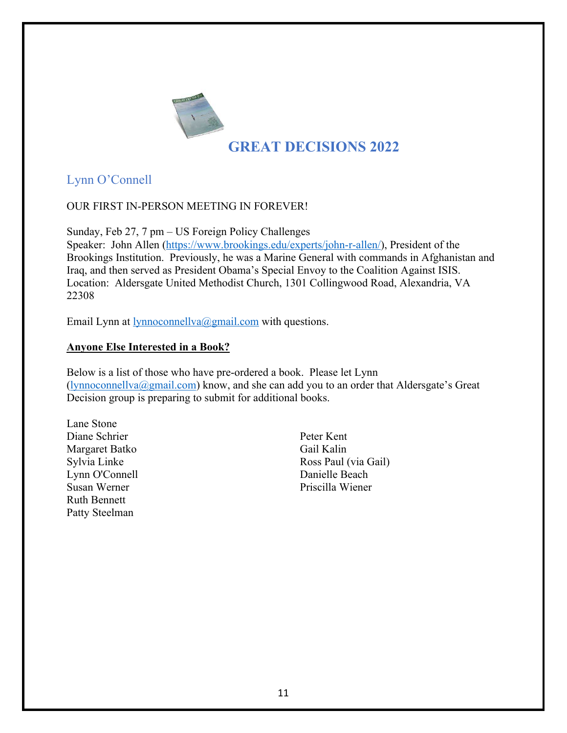

# Lynn O'Connell

### OUR FIRST IN-PERSON MEETING IN FOREVER!

Sunday, Feb 27, 7 pm – US Foreign Policy Challenges

Speaker: John Allen [\(https://www.brookings.edu/experts/john-r-allen/](https://www.brookings.edu/experts/john-r-allen/)), President of the Brookings Institution. Previously, he was a Marine General with commands in Afghanistan and Iraq, and then served as President Obama's Special Envoy to the Coalition Against ISIS. Location: Aldersgate United Methodist Church, 1301 Collingwood Road, Alexandria, VA 22308

Email Lynn at <u>lynnoconnellva@gmail.com</u> with questions.

### **Anyone Else Interested in a Book?**

Below is a list of those who have pre-ordered a book. Please let Lynn  $(lynnoconnellva@gmail.com)$  $(lynnoconnellva@gmail.com)$  know, and she can add you to an order that Aldersgate's Great Decision group is preparing to submit for additional books.

Lane Stone Diane Schrier Margaret Batko Sylvia Linke Lynn O'Connell Susan Werner Ruth Bennett Patty Steelman

Peter Kent Gail Kalin Ross Paul (via Gail) Danielle Beach Priscilla Wiener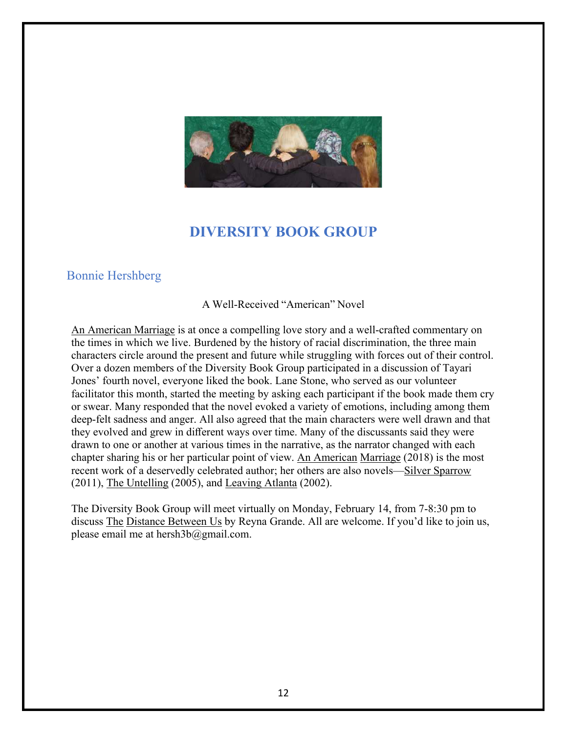

# **DIVERSITY BOOK GROUP**

## Bonnie Hershberg

A Well-Received "American" Novel

An American Marriage is at once a compelling love story and a well-crafted commentary on the times in which we live. Burdened by the history of racial discrimination, the three main characters circle around the present and future while struggling with forces out of their control. Over a dozen members of the Diversity Book Group participated in a discussion of Tayari Jones' fourth novel, everyone liked the book. Lane Stone, who served as our volunteer facilitator this month, started the meeting by asking each participant if the book made them cry or swear. Many responded that the novel evoked a variety of emotions, including among them deep-felt sadness and anger. All also agreed that the main characters were well drawn and that they evolved and grew in different ways over time. Many of the discussants said they were drawn to one or another at various times in the narrative, as the narrator changed with each chapter sharing his or her particular point of view. An American Marriage (2018) is the most recent work of a deservedly celebrated author; her others are also novels—Silver Sparrow (2011), The Untelling (2005), and Leaving Atlanta (2002).

The Diversity Book Group will meet virtually on Monday, February 14, from 7-8:30 pm to discuss The Distance Between Us by Reyna Grande. All are welcome. If you'd like to join us, please email me at [hersh3b@gmail.com.](mailto:hersh3b@gmail.com)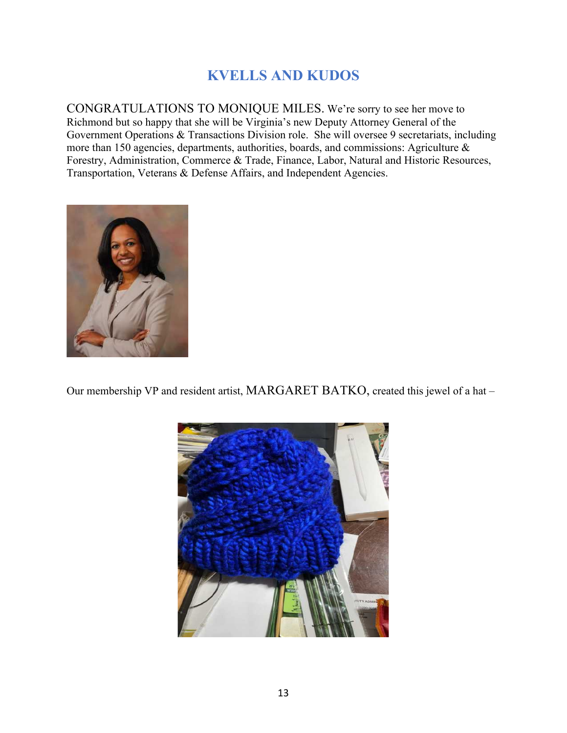# **KVELLS AND KUDOS**

CONGRATULATIONS TO MONIQUE MILES. We're sorry to see her move to Richmond but so happy that she will be Virginia's new Deputy Attorney General of the Government Operations & Transactions Division role. She will oversee 9 secretariats, including more than 150 agencies, departments, authorities, boards, and commissions: Agriculture & Forestry, Administration, Commerce & Trade, Finance, Labor, Natural and Historic Resources, Transportation, Veterans & Defense Affairs, and Independent Agencies.



Our membership VP and resident artist, MARGARET BATKO, created this jewel of a hat –

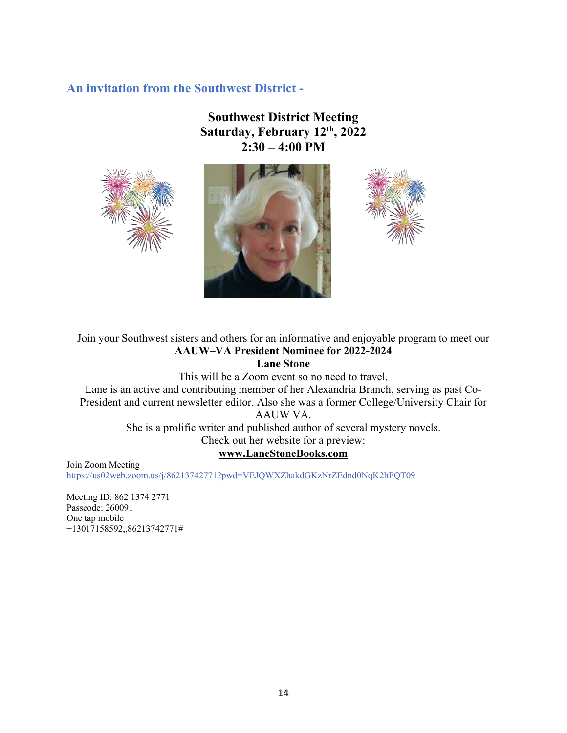## **An invitation from the Southwest District -**

## **Southwest District Meeting Saturday, February 12th, 2022 2:30 – 4:00 PM**







# Join your Southwest sisters and others for an informative and enjoyable program to meet our **AAUW–VA President Nominee for 2022-2024**

**Lane Stone**

This will be a Zoom event so no need to travel. Lane is an active and contributing member of her Alexandria Branch, serving as past Co-President and current newsletter editor. Also she was a former College/University Chair for AAUW VA.

She is a prolific writer and published author of several mystery novels.

Check out her website for a preview:

#### **[www.LaneStoneBooks.com](http://www.lanestonebooks.com/)**

Join Zoom Meeting <https://us02web.zoom.us/j/86213742771?pwd=VEJQWXZhakdGKzNrZEdnd0NqK2hFQT09>

Meeting ID: 862 1374 2771 Passcode: 260091 One tap mobile +13017158592,,86213742771#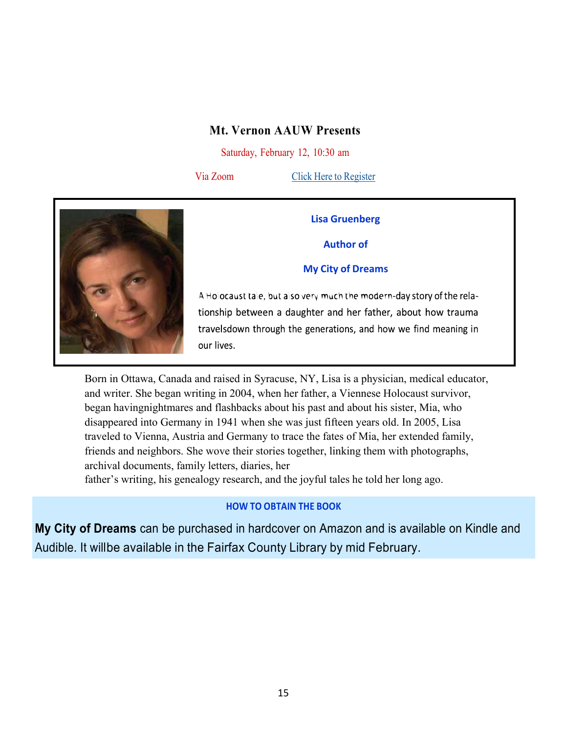### **Mt. Vernon AAUW Presents**

Saturday, February 12, 10:30 am

Via Zoom Click Here to [Register](https://librarycalendar.fairfaxcounty.gov/event/8504791)



#### **Lisa Gruenberg**

**Author of**

#### **My City of Dreams**

A Ho ocaust tale, but also very much the modern-day story of the relationship between a daughter and her father, about how trauma travelsdown through the generations, and how we find meaning in our lives.

Born in Ottawa, Canada and raised in Syracuse, NY, Lisa is a physician, medical educator, and writer. She began writing in 2004, when her father, a Viennese Holocaust survivor, began havingnightmares and flashbacks about his past and about his sister, Mia, who disappeared into Germany in 1941 when she was just fifteen years old. In 2005, Lisa traveled to Vienna, Austria and Germany to trace the fates of Mia, her extended family, friends and neighbors. She wove their stories together, linking them with photographs, archival documents, family letters, diaries, her

father's writing, his genealogy research, and the joyful tales he told her long ago.

### **HOW TO OBTAIN THE BOOK**

**My City of Dreams** can be purchased in hardcover on Amazon and is available on Kindle and Audible. It willbe available in the Fairfax County Library by mid February.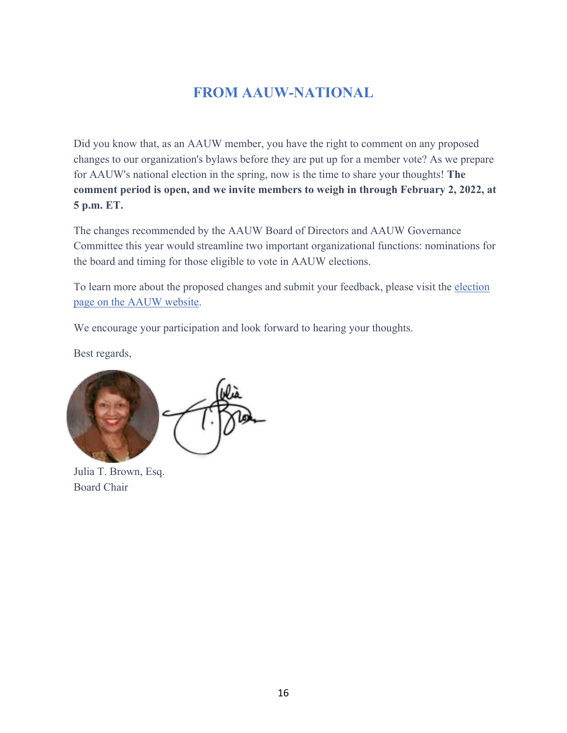# **FROM AAUW-NATIONAL**

Did you know that, as an AAUW member, you have the right to comment on any proposed changes to our organization's bylaws before they are put up for a member vote? As we prepare for AAUW's national election in the spring, now is the time to share your thoughts! **The comment period is open, and we invite members to weigh in through February 2, 2022, at 5 p.m. ET.**

The changes recommended by the AAUW Board of Directors and AAUW Governance Committee this year would streamline two important organizational functions: nominations for the board and timing for those eligible to vote in AAUW elections.

To learn more about the proposed changes and submit your feedback, please visit the [election](https://click.everyaction.com/k/40797701/325998156/-1079078354?nvep=ew0KICAiVGVuYW50VXJpIjogIm5ncHZhbjovL3Zhbi9FQS9FQTAwNS8xLzc2OTU1IiwNCiAgIkRpc3RyaWJ1dGlvblVuaXF1ZUlkIjogIjMwN2FmZWFmLTc3NzgtZWMxMS05NGY2LWM4OTY2NTBkNDQ0MiIsDQogICJFbWFpbEFkZHJlc3MiOiAiTGFuZUxhcnJ5RENAY29tY2FzdC5uZXQiDQp9&hmac=vZJqKKu0uZKy5OW0Fx-GR-qJi8GKdT5aonbWGGTGbF8=&emci=c749bd44-b374-ec11-94f6-c896650d4442&emdi=307afeaf-7778-ec11-94f6-c896650d4442&ceid=931465) page on [the AAUW website](https://click.everyaction.com/k/40797701/325998156/-1079078354?nvep=ew0KICAiVGVuYW50VXJpIjogIm5ncHZhbjovL3Zhbi9FQS9FQTAwNS8xLzc2OTU1IiwNCiAgIkRpc3RyaWJ1dGlvblVuaXF1ZUlkIjogIjMwN2FmZWFmLTc3NzgtZWMxMS05NGY2LWM4OTY2NTBkNDQ0MiIsDQogICJFbWFpbEFkZHJlc3MiOiAiTGFuZUxhcnJ5RENAY29tY2FzdC5uZXQiDQp9&hmac=vZJqKKu0uZKy5OW0Fx-GR-qJi8GKdT5aonbWGGTGbF8=&emci=c749bd44-b374-ec11-94f6-c896650d4442&emdi=307afeaf-7778-ec11-94f6-c896650d4442&ceid=931465).

We encourage your participation and look forward to hearing your thoughts.

Best regards,



Julia T. Brown, Esq. Board Chair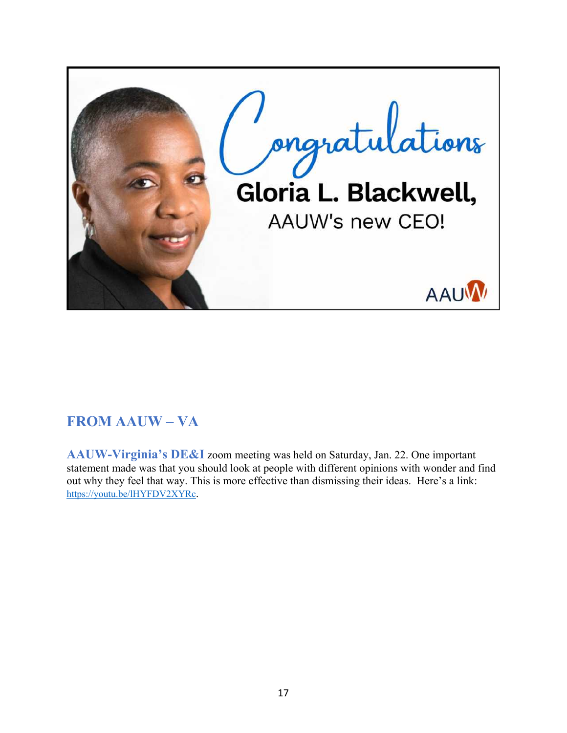

# **FROM AAUW – VA**

**AAUW-Virginia's DE&I** zoom meeting was held on Saturday, Jan. 22. One important statement made was that you should look at people with different opinions with wonder and find out why they feel that way. This is more effective than dismissing their ideas. Here's a link: <https://youtu.be/lHYFDV2XYRc>.